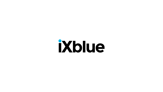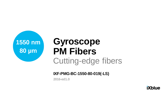

# •**Gyroscope**  •**PM Fibers** Cutting-edge fibers

**IXF-PMG-BC-1550-80-019(-LS)**

**2016-ed1.0**

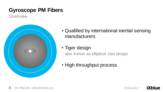**Overview** 



- Qualified by international inertial sensing manufacturers
- Tiger design

also known as elliptical clad design

• High throughput process

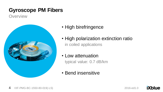**Overview** 



- High birefringence
- High polarization extinction ratio in coiled applications
- Low attenuation

typical value: 0.7 dB/km

• Bend insensitive

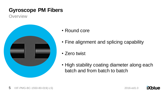**Overview** 



- Round core
- Fine alignment and splicing capability
- Zero twist
- High stability coating diameter along each batch and from batch to batch

**iXblue**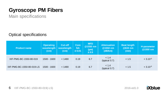Main specifications

Optical specifications

| <b>Product name</b>       | <b>Operating</b><br>wavelength<br>(nm) | <b>Cut-off</b><br>wavelength<br>(nm) | <b>Core</b><br><b>NA</b><br>± 0.01 | <b>MFD</b><br>@1550 nm<br>$(\mu m)$<br>± 0.5 | <b>Attenuation</b><br>@1550 nm<br>(dB/km) | <b>Beat length</b><br><b>@633 nm</b><br>(mm) | H-parameter<br>@1550 nm |
|---------------------------|----------------------------------------|--------------------------------------|------------------------------------|----------------------------------------------|-------------------------------------------|----------------------------------------------|-------------------------|
| IXF-PMG-BC-1550-80-019    | 1500 - 1600                            | < 1480                               | 0.19                               | 6.7                                          | < 1.4<br>(typical 0.7)                    | < 1.5                                        | $<$ 3.10 <sup>-5</sup>  |
| IXF-PMG-BC-1550-80-019-LS | 1500 - 1600                            | < 1480                               | 0.19                               | 6.7                                          | < 1.4<br>(typical 0.7)                    | < 1.5                                        | $<$ 3.10 <sup>-5</sup>  |

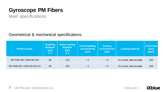Main specifications

#### Geometrical & mechanical specifications

| <b>Product name</b>       | <b>Cladding</b><br>diameter<br>(µm)<br>±1 | <b>Outer coating</b><br>diameter<br>(µm)<br>±2 | <b>Core-cladding</b><br>concentricity<br>(µm) | <b>Coating</b><br><b>Concentricity</b><br>(µm) | <b>Coating material</b> | <b>Proof test</b><br>level<br>(kpsi) |
|---------------------------|-------------------------------------------|------------------------------------------------|-----------------------------------------------|------------------------------------------------|-------------------------|--------------------------------------|
| IXF-PMG-BC-1550-80-019    | 80                                        | 170                                            | $<$ 1                                         | < 5                                            | UV cured, dual acrylate | 100                                  |
| IXF-PMG-BC-1550-80-019-LS | 80                                        | 128                                            | $\leq$ 1                                      | < 5                                            | UV cured, dual acrylate | 100                                  |